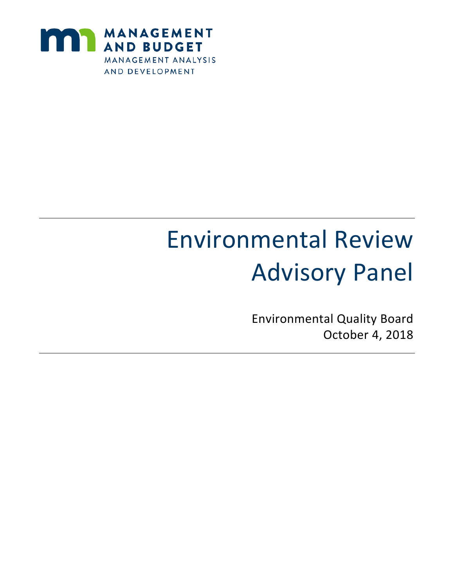

# Environmental Review Advisory Panel

Environmental Quality Board October 4, 2018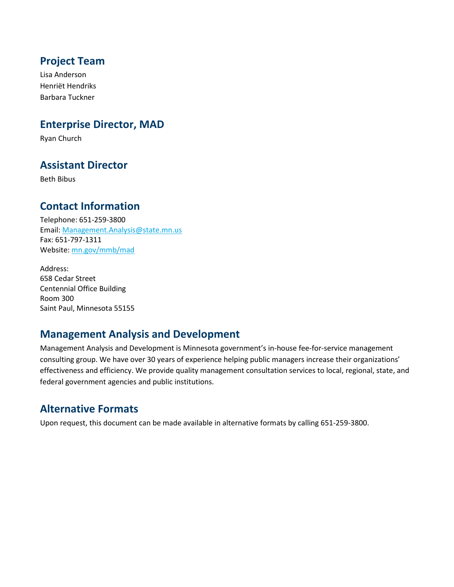### **Project Team**

Lisa Anderson Henriët Hendriks Barbara Tuckner

#### **Enterprise Director, MAD**

Ryan Church

### **Assistant Director**

Beth Bibus

### **Contact Information**

Telephone: 651-259-3800 Email: Management.Analysis@state.mn.us Fax: 651-797-1311 Website: mn.gov/mmb/mad

Address: 658 Cedar Street Centennial Office Building Room 300 Saint Paul, Minnesota 55155

### **Management Analysis and Development**

Management Analysis and Development is Minnesota government's in-house fee-for-service management consulting group. We have over 30 years of experience helping public managers increase their organizations' effectiveness and efficiency. We provide quality management consultation services to local, regional, state, and federal government agencies and public institutions.

### **Alternative Formats**

Upon request, this document can be made available in alternative formats by calling 651-259-3800.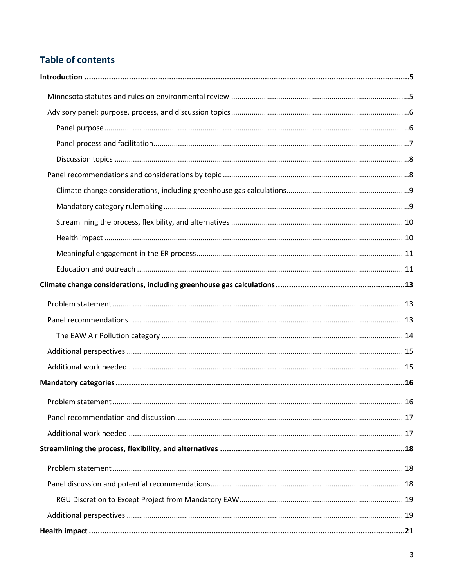## **Table of contents**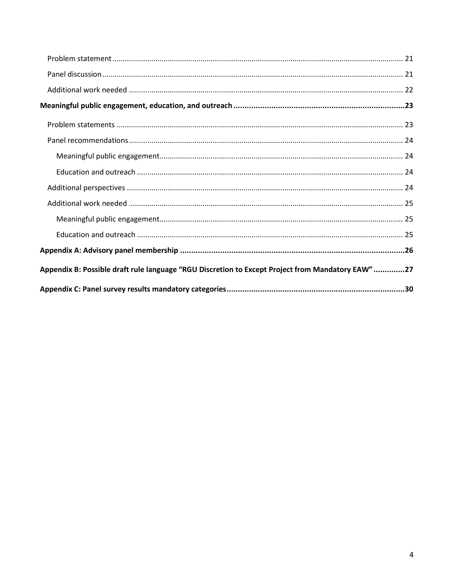| Appendix B: Possible draft rule language "RGU Discretion to Except Project from Mandatory EAW"27 |  |
|--------------------------------------------------------------------------------------------------|--|
|                                                                                                  |  |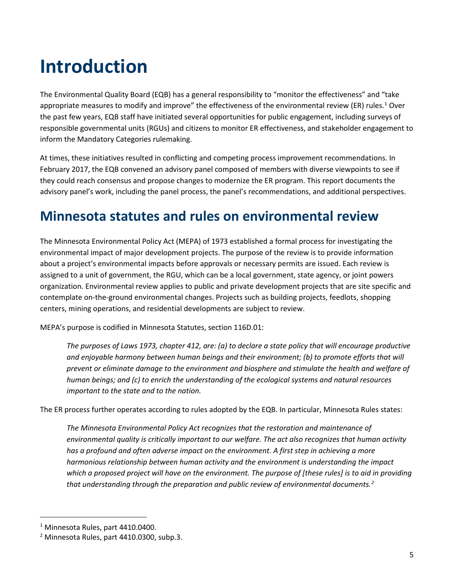# <span id="page-4-0"></span>**Introduction**

The Environmental Quality Board (EQB) has a general responsibility to "monitor the effectiveness" and "take appropriate measures to modify and improve" the effectiveness of the environmental review (ER) rules.<sup>[1](#page-4-2)</sup> Over the past few years, EQB staff have initiated several opportunities for public engagement, including surveys of responsible governmental units (RGUs) and citizens to monitor ER effectiveness, and stakeholder engagement to inform the Mandatory Categories rulemaking.

At times, these initiatives resulted in conflicting and competing process improvement recommendations. In February 2017, the EQB convened an advisory panel composed of members with diverse viewpoints to see if they could reach consensus and propose changes to modernize the ER program. This report documents the advisory panel's work, including the panel process, the panel's recommendations, and additional perspectives.

# <span id="page-4-1"></span>**Minnesota statutes and rules on environmental review**

The Minnesota Environmental Policy Act (MEPA) of 1973 established a formal process for investigating the environmental impact of major development projects. The purpose of the review is to provide information about a project's environmental impacts before approvals or necessary permits are issued. Each review is assigned to a unit of government, the RGU, which can be a local government, state agency, or joint powers organization. Environmental review applies to public and private development projects that are site specific and contemplate on-the-ground environmental changes. Projects such as building projects, feedlots, shopping centers, mining operations, and residential developments are subject to review.

MEPA's purpose is codified in Minnesota Statutes, section 116D.01:

*The purposes of Laws 1973, chapter 412, are: (a) to declare a state policy that will encourage productive and enjoyable harmony between human beings and their environment; (b) to promote efforts that will prevent or eliminate damage to the environment and biosphere and stimulate the health and welfare of human beings; and (c) to enrich the understanding of the ecological systems and natural resources important to the state and to the nation.*

The ER process further operates according to rules adopted by the EQB. In particular, Minnesota Rules states:

*The Minnesota Environmental Policy Act recognizes that the restoration and maintenance of environmental quality is critically important to our welfare. The act also recognizes that human activity has a profound and often adverse impact on the environment. A first step in achieving a more harmonious relationship between human activity and the environment is understanding the impact which a proposed project will have on the environment. The purpose of [these rules] is to aid in providing that understanding through the preparation and public review of environmental documents.[2](#page-4-3)*

<span id="page-4-2"></span> <sup>1</sup> Minnesota Rules, part 4410.0400.

<span id="page-4-3"></span><sup>2</sup> Minnesota Rules, part 4410.0300, subp.3.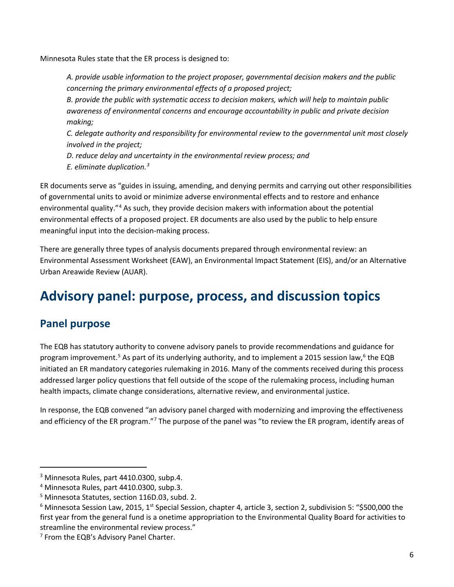Minnesota Rules state that the ER process is designed to:

*A. provide usable information to the project proposer, governmental decision makers and the public concerning the primary environmental effects of a proposed project;*

*B. provide the public with systematic access to decision makers, which will help to maintain public awareness of environmental concerns and encourage accountability in public and private decision making;*

*C. delegate authority and responsibility for environmental review to the governmental unit most closely involved in the project;*

*D. reduce delay and uncertainty in the environmental review process; and E. eliminate duplication.[3](#page-5-2)*

ER documents serve as "guides in issuing, amending, and denying permits and carrying out other responsibilities of governmental units to avoid or minimize adverse environmental effects and to restore and enhance environmental quality."[4](#page-5-3) As such, they provide decision makers with information about the potential environmental effects of a proposed project. ER documents are also used by the public to help ensure meaningful input into the decision-making process.

There are generally three types of analysis documents prepared through environmental review: an Environmental Assessment Worksheet (EAW), an Environmental Impact Statement (EIS), and/or an Alternative Urban Areawide Review (AUAR).

# <span id="page-5-0"></span>**Advisory panel: purpose, process, and discussion topics**

### <span id="page-5-1"></span>**Panel purpose**

 $\overline{\phantom{a}}$ 

The EQB has statutory authority to convene advisory panels to provide recommendations and guidance for program improvement.<sup>[5](#page-5-4)</sup> As part of its underlying authority, and to implement a 2015 session law,<sup>[6](#page-5-5)</sup> the EQB initiated an ER mandatory categories rulemaking in 2016. Many of the comments received during this process addressed larger policy questions that fell outside of the scope of the rulemaking process, including human health impacts, climate change considerations, alternative review, and environmental justice.

In response, the EQB convened "an advisory panel charged with modernizing and improving the effectiveness and efficiency of the ER program."[7](#page-5-6) The purpose of the panel was "to review the ER program, identify areas of

<span id="page-5-2"></span><sup>&</sup>lt;sup>3</sup> Minnesota Rules, part 4410.0300, subp.4.

<span id="page-5-3"></span><sup>4</sup> Minnesota Rules, part 4410.0300, subp.3.

<span id="page-5-4"></span><sup>5</sup> Minnesota Statutes, section 116D.03, subd. 2.

<span id="page-5-5"></span> $6$  Minnesota Session Law, 2015, 1<sup>st</sup> Special Session, chapter 4, article 3, section 2, subdivision 5: "\$500,000 the first year from the general fund is a onetime appropriation to the Environmental Quality Board for activities to streamline the environmental review process."

<span id="page-5-6"></span> $<sup>7</sup>$  From the EQB's Advisory Panel Charter.</sup>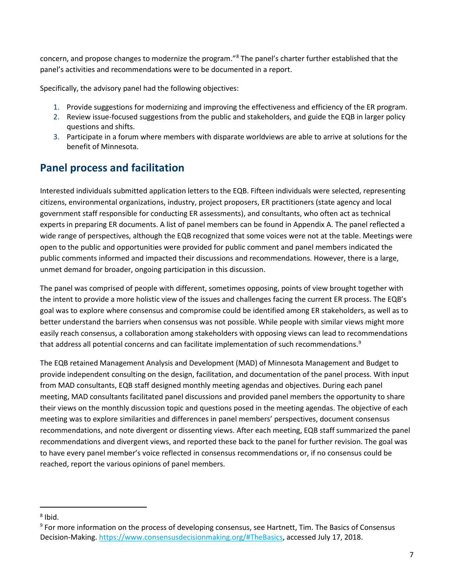concern, and propose changes to modernize the program."[8](#page-6-1) The panel's charter further established that the panel's activities and recommendations were to be documented in a report.

Specifically, the advisory panel had the following objectives:

- 1. Provide suggestions for modernizing and improving the effectiveness and efficiency of the ER program.
- 2. Review issue-focused suggestions from the public and stakeholders, and guide the EQB in larger policy questions and shifts.
- 3. Participate in a forum where members with disparate worldviews are able to arrive at solutions for the benefit of Minnesota.

## <span id="page-6-0"></span>**Panel process and facilitation**

Interested individuals submitted application letters to the EQB. Fifteen individuals were selected, representing citizens, environmental organizations, industry, project proposers, ER practitioners (state agency and local government staff responsible for conducting ER assessments), and consultants, who often act as technical experts in preparing ER documents. A list of panel members can be found i[n Appendix](#page-25-0) A. The panel reflected a wide range of perspectives, although the EQB recognized that some voices were not at the table. Meetings were open to the public and opportunities were provided for public comment and panel members indicated the public comments informed and impacted their discussions and recommendations. However, there is a large, unmet demand for broader, ongoing participation in this discussion.

The panel was comprised of people with different, sometimes opposing, points of view brought together with the intent to provide a more holistic view of the issues and challenges facing the current ER process. The EQB's goal was to explore where consensus and compromise could be identified among ER stakeholders, as well as to better understand the barriers when consensus was not possible. While people with similar views might more easily reach consensus, a collaboration among stakeholders with opposing views can lead to recommendations that address all potential concerns and can facilitate implementation of such recommendations.<sup>[9](#page-6-2)</sup>

The EQB retained Management Analysis and Development (MAD) of Minnesota Management and Budget to provide independent consulting on the design, facilitation, and documentation of the panel process. With input from MAD consultants, EQB staff designed monthly meeting agendas and objectives. During each panel meeting, MAD consultants facilitated panel discussions and provided panel members the opportunity to share their views on the monthly discussion topic and questions posed in the meeting agendas. The objective of each meeting was to explore similarities and differences in panel members' perspectives, document consensus recommendations, and note divergent or dissenting views. After each meeting, EQB staff summarized the panel recommendations and divergent views, and reported these back to the panel for further revision. The goal was to have every panel member's voice reflected in consensus recommendations or, if no consensus could be reached, report the various opinions of panel members.

l

<span id="page-6-1"></span> $8$  Ibid.

<span id="page-6-2"></span> $9$  For more information on the process of developing consensus, see Hartnett, Tim. The Basics of Consensus Decision-Making[. https://www.consensusdecisionmaking.org/#TheBasics,](https://www.consensusdecisionmaking.org/#TheBasics) accessed July 17, 2018.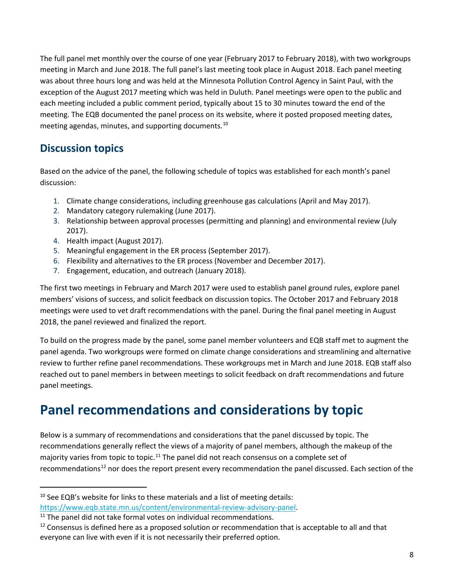The full panel met monthly over the course of one year (February 2017 to February 2018), with two workgroups meeting in March and June 2018. The full panel's last meeting took place in August 2018. Each panel meeting was about three hours long and was held at the Minnesota Pollution Control Agency in Saint Paul, with the exception of the August 2017 meeting which was held in Duluth. Panel meetings were open to the public and each meeting included a public comment period, typically about 15 to 30 minutes toward the end of the meeting. The EQB documented the panel process on its website, where it posted proposed meeting dates, meeting agendas, minutes, and supporting documents.[10](#page-7-2)

## <span id="page-7-0"></span>**Discussion topics**

Based on the advice of the panel, the following schedule of topics was established for each month's panel discussion:

- 1. Climate change considerations, including greenhouse gas calculations (April and May 2017).
- 2. Mandatory category rulemaking (June 2017).
- 3. Relationship between approval processes (permitting and planning) and environmental review (July 2017).
- 4. Health impact (August 2017).
- 5. Meaningful engagement in the ER process (September 2017).
- 6. Flexibility and alternatives to the ER process (November and December 2017).
- 7. Engagement, education, and outreach (January 2018).

The first two meetings in February and March 2017 were used to establish panel ground rules, explore panel members' visions of success, and solicit feedback on discussion topics. The October 2017 and February 2018 meetings were used to vet draft recommendations with the panel. During the final panel meeting in August 2018, the panel reviewed and finalized the report.

To build on the progress made by the panel, some panel member volunteers and EQB staff met to augment the panel agenda. Two workgroups were formed on climate change considerations and streamlining and alternative review to further refine panel recommendations. These workgroups met in March and June 2018. EQB staff also reached out to panel members in between meetings to solicit feedback on draft recommendations and future panel meetings.

# <span id="page-7-1"></span>**Panel recommendations and considerations by topic**

Below is a summary of recommendations and considerations that the panel discussed by topic. The recommendations generally reflect the views of a majority of panel members, although the makeup of the majority varies from topic to topic.<sup>[11](#page-7-3)</sup> The panel did not reach consensus on a complete set of recommendations<sup>[12](#page-7-4)</sup> nor does the report present every recommendation the panel discussed. Each section of the

<span id="page-7-2"></span><sup>&</sup>lt;sup>10</sup> See EQB's website for links to these materials and a list of meeting details: [https://www.eqb.state.mn.us/content/environmental-review-advisory-panel.](https://www.eqb.state.mn.us/content/environmental-review-advisory-panel)

<span id="page-7-3"></span> $11$  The panel did not take formal votes on individual recommendations.

<span id="page-7-4"></span> $12$  Consensus is defined here as a proposed solution or recommendation that is acceptable to all and that everyone can live with even if it is not necessarily their preferred option.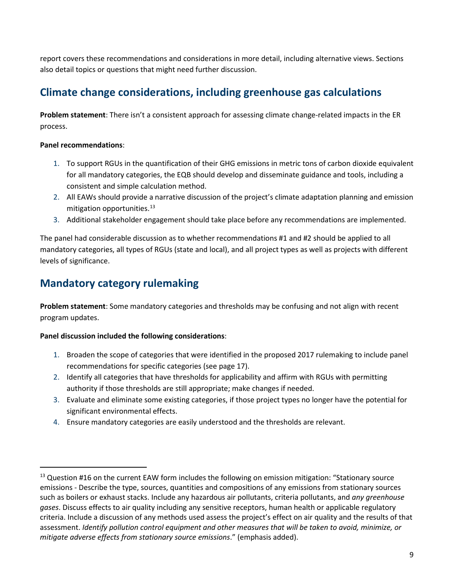report covers these recommendations and considerations in more detail, including alternative views. Sections also detail topics or questions that might need further discussion.

## <span id="page-8-0"></span>**Climate change considerations, including greenhouse gas calculations**

**Problem statement**: There isn't a consistent approach for assessing climate change-related impacts in the ER process.

#### **Panel recommendations**:

 $\overline{\phantom{a}}$ 

- 1. To support RGUs in the quantification of their GHG emissions in metric tons of carbon dioxide equivalent for all mandatory categories, the EQB should develop and disseminate guidance and tools, including a consistent and simple calculation method.
- 2. All EAWs should provide a narrative discussion of the project's climate adaptation planning and emission mitigation opportunities. $13$
- 3. Additional stakeholder engagement should take place before any recommendations are implemented.

The panel had considerable discussion as to whether recommendations #1 and #2 should be applied to all mandatory categories, all types of RGUs (state and local), and all project types as well as projects with different levels of significance.

## <span id="page-8-1"></span>**Mandatory category rulemaking**

**Problem statement**: Some mandatory categories and thresholds may be confusing and not align with recent program updates.

#### **Panel discussion included the following considerations**:

- 1. Broaden the scope of categories that were identified in the proposed 2017 rulemaking to include panel recommendations for specific categories (see pag[e 17\)](#page-16-0).
- 2. Identify all categories that have thresholds for applicability and affirm with RGUs with permitting authority if those thresholds are still appropriate; make changes if needed.
- 3. Evaluate and eliminate some existing categories, if those project types no longer have the potential for significant environmental effects.
- 4. Ensure mandatory categories are easily understood and the thresholds are relevant.

<span id="page-8-2"></span> $13$  Question #16 on the current EAW form includes the following on emission mitigation: "Stationary source emissions - Describe the type, sources, quantities and compositions of any emissions from stationary sources such as boilers or exhaust stacks. Include any hazardous air pollutants, criteria pollutants, and *any greenhouse gases*. Discuss effects to air quality including any sensitive receptors, human health or applicable regulatory criteria. Include a discussion of any methods used assess the project's effect on air quality and the results of that assessment. *Identify pollution control equipment and other measures that will be taken to avoid, minimize, or mitigate adverse effects from stationary source emissions*." (emphasis added).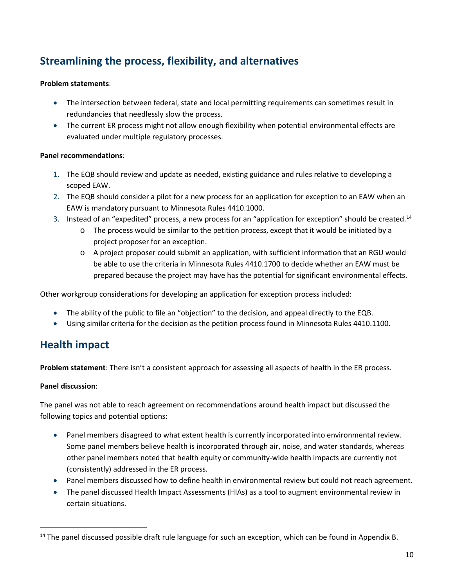## <span id="page-9-0"></span>**Streamlining the process, flexibility, and alternatives**

#### **Problem statements**:

- The intersection between federal, state and local permitting requirements can sometimes result in redundancies that needlessly slow the process.
- The current ER process might not allow enough flexibility when potential environmental effects are evaluated under multiple regulatory processes.

#### **Panel recommendations**:

- 1. The EQB should review and update as needed, existing guidance and rules relative to developing a scoped EAW.
- 2. The EQB should consider a pilot for a new process for an application for exception to an EAW when an EAW is mandatory pursuant to Minnesota Rules 4410.1000.
- 3. Instead of an "expedited" process, a new process for an "application for exception" should be created.<sup>[14](#page-9-2)</sup>
	- o The process would be similar to the petition process, except that it would be initiated by a project proposer for an exception.
	- o A project proposer could submit an application, with sufficient information that an RGU would be able to use the criteria in Minnesota Rules 4410.1700 to decide whether an EAW must be prepared because the project may have has the potential for significant environmental effects.

Other workgroup considerations for developing an application for exception process included:

- The ability of the public to file an "objection" to the decision, and appeal directly to the EQB.
- Using similar criteria for the decision as the petition process found in Minnesota Rules 4410.1100.

## <span id="page-9-1"></span>**Health impact**

**Problem statement**: There isn't a consistent approach for assessing all aspects of health in the ER process.

#### **Panel discussion**:

 $\overline{\phantom{a}}$ 

The panel was not able to reach agreement on recommendations around health impact but discussed the following topics and potential options:

- Panel members disagreed to what extent health is currently incorporated into environmental review. Some panel members believe health is incorporated through air, noise, and water standards, whereas other panel members noted that health equity or community-wide health impacts are currently not (consistently) addressed in the ER process.
- Panel members discussed how to define health in environmental review but could not reach agreement.
- The panel discussed Health Impact Assessments (HIAs) as a tool to augment environmental review in certain situations.

<span id="page-9-2"></span><sup>&</sup>lt;sup>14</sup> The panel discussed possible draft rule language for such an exception, which can be found in [Appendix B.](#page-26-0)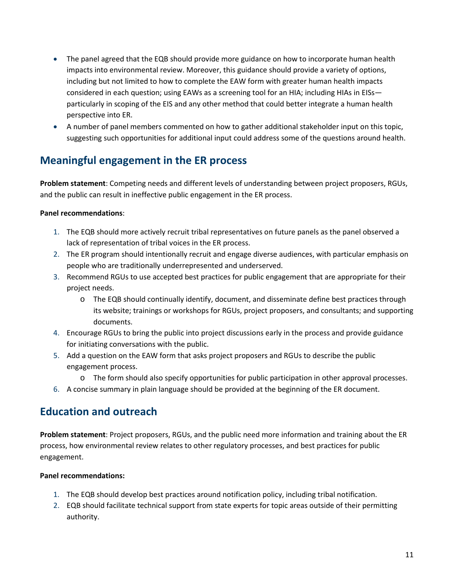- The panel agreed that the EQB should provide more guidance on how to incorporate human health impacts into environmental review. Moreover, this guidance should provide a variety of options, including but not limited to how to complete the EAW form with greater human health impacts considered in each question; using EAWs as a screening tool for an HIA; including HIAs in EISs particularly in scoping of the EIS and any other method that could better integrate a human health perspective into ER.
- A number of panel members commented on how to gather additional stakeholder input on this topic, suggesting such opportunities for additional input could address some of the questions around health.

## <span id="page-10-0"></span>**Meaningful engagement in the ER process**

**Problem statement**: Competing needs and different levels of understanding between project proposers, RGUs, and the public can result in ineffective public engagement in the ER process.

#### **Panel recommendations**:

- 1. The EQB should more actively recruit tribal representatives on future panels as the panel observed a lack of representation of tribal voices in the ER process.
- 2. The ER program should intentionally recruit and engage diverse audiences, with particular emphasis on people who are traditionally underrepresented and underserved.
- 3. Recommend RGUs to use accepted best practices for public engagement that are appropriate for their project needs.
	- o The EQB should continually identify, document, and disseminate define best practices through its website; trainings or workshops for RGUs, project proposers, and consultants; and supporting documents.
- 4. Encourage RGUs to bring the public into project discussions early in the process and provide guidance for initiating conversations with the public.
- 5. Add a question on the EAW form that asks project proposers and RGUs to describe the public engagement process.
	- o The form should also specify opportunities for public participation in other approval processes.
- 6. A concise summary in plain language should be provided at the beginning of the ER document.

#### <span id="page-10-1"></span>**Education and outreach**

**Problem statement**: Project proposers, RGUs, and the public need more information and training about the ER process, how environmental review relates to other regulatory processes, and best practices for public engagement.

#### **Panel recommendations:**

- 1. The EQB should develop best practices around notification policy, including tribal notification.
- 2. EQB should facilitate technical support from state experts for topic areas outside of their permitting authority.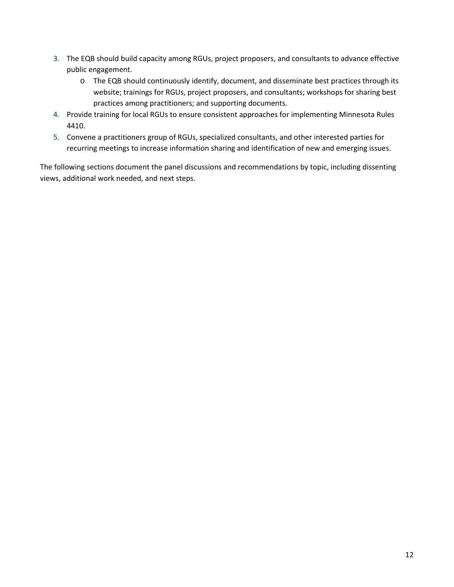- 3. The EQB should build capacity among RGUs, project proposers, and consultants to advance effective public engagement.
	- o The EQB should continuously identify, document, and disseminate best practices through its website; trainings for RGUs, project proposers, and consultants; workshops for sharing best practices among practitioners; and supporting documents.
- 4. Provide training for local RGUs to ensure consistent approaches for implementing Minnesota Rules 4410.
- 5. Convene a practitioners group of RGUs, specialized consultants, and other interested parties for recurring meetings to increase information sharing and identification of new and emerging issues.

The following sections document the panel discussions and recommendations by topic, including dissenting views, additional work needed, and next steps.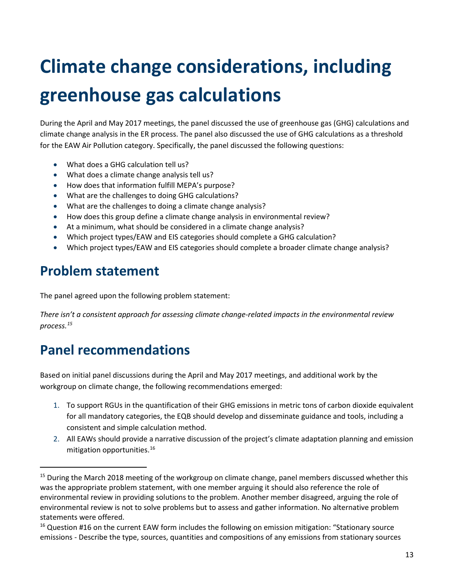# <span id="page-12-0"></span>**Climate change considerations, including greenhouse gas calculations**

During the April and May 2017 meetings, the panel discussed the use of greenhouse gas (GHG) calculations and climate change analysis in the ER process. The panel also discussed the use of GHG calculations as a threshold for the EAW Air Pollution category. Specifically, the panel discussed the following questions:

- What does a GHG calculation tell us?
- What does a climate change analysis tell us?
- How does that information fulfill MEPA's purpose?
- What are the challenges to doing GHG calculations?
- What are the challenges to doing a climate change analysis?
- How does this group define a climate change analysis in environmental review?
- At a minimum, what should be considered in a climate change analysis?
- Which project types/EAW and EIS categories should complete a GHG calculation?
- Which project types/EAW and EIS categories should complete a broader climate change analysis?

## <span id="page-12-1"></span>**Problem statement**

 $\overline{\phantom{a}}$ 

The panel agreed upon the following problem statement:

*There isn't a consistent approach for assessing climate change-related impacts in the environmental review process.[15](#page-12-3)*

# <span id="page-12-2"></span>**Panel recommendations**

Based on initial panel discussions during the April and May 2017 meetings, and additional work by the workgroup on climate change, the following recommendations emerged:

- 1. To support RGUs in the quantification of their GHG emissions in metric tons of carbon dioxide equivalent for all mandatory categories, the EQB should develop and disseminate guidance and tools, including a consistent and simple calculation method.
- 2. All EAWs should provide a narrative discussion of the project's climate adaptation planning and emission mitigation opportunities. [16](#page-12-4)

<span id="page-12-3"></span><sup>&</sup>lt;sup>15</sup> During the March 2018 meeting of the workgroup on climate change, panel members discussed whether this was the appropriate problem statement, with one member arguing it should also reference the role of environmental review in providing solutions to the problem. Another member disagreed, arguing the role of environmental review is not to solve problems but to assess and gather information. No alternative problem statements were offered.

<span id="page-12-4"></span><sup>&</sup>lt;sup>16</sup> Question #16 on the current EAW form includes the following on emission mitigation: "Stationary source emissions - Describe the type, sources, quantities and compositions of any emissions from stationary sources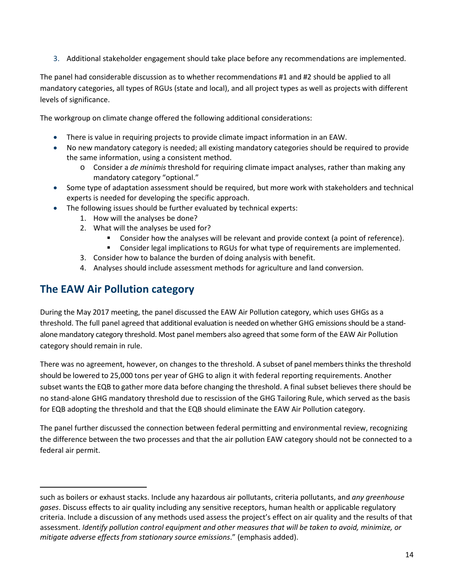3. Additional stakeholder engagement should take place before any recommendations are implemented.

The panel had considerable discussion as to whether recommendations #1 and #2 should be applied to all mandatory categories, all types of RGUs (state and local), and all project types as well as projects with different levels of significance.

The workgroup on climate change offered the following additional considerations:

- There is value in requiring projects to provide climate impact information in an EAW.
- No new mandatory category is needed; all existing mandatory categories should be required to provide the same information, using a consistent method.
	- o Consider a *de minimis* threshold for requiring climate impact analyses, rather than making any mandatory category "optional."
- Some type of adaptation assessment should be required, but more work with stakeholders and technical experts is needed for developing the specific approach.
- The following issues should be further evaluated by technical experts:
	- 1. How will the analyses be done?
	- 2. What will the analyses be used for?
		- Consider how the analyses will be relevant and provide context (a point of reference).
		- Consider legal implications to RGUs for what type of requirements are implemented.
	- 3. Consider how to balance the burden of doing analysis with benefit.
	- 4. Analyses should include assessment methods for agriculture and land conversion.

## <span id="page-13-0"></span>**The EAW Air Pollution category**

 $\overline{\phantom{a}}$ 

During the May 2017 meeting, the panel discussed the EAW Air Pollution category, which uses GHGs as a threshold. The full panel agreed that additional evaluation is needed on whether GHG emissions should be a standalone mandatory category threshold. Most panel members also agreed that some form of the EAW Air Pollution category should remain in rule.

There was no agreement, however, on changes to the threshold. A subset of panel members thinks the threshold should be lowered to 25,000 tons per year of GHG to align it with federal reporting requirements. Another subset wants the EQB to gather more data before changing the threshold. A final subset believes there should be no stand-alone GHG mandatory threshold due to rescission of the GHG Tailoring Rule, which served as the basis for EQB adopting the threshold and that the EQB should eliminate the EAW Air Pollution category.

The panel further discussed the connection between federal permitting and environmental review, recognizing the difference between the two processes and that the air pollution EAW category should not be connected to a federal air permit.

such as boilers or exhaust stacks. Include any hazardous air pollutants, criteria pollutants, and *any greenhouse gases*. Discuss effects to air quality including any sensitive receptors, human health or applicable regulatory criteria. Include a discussion of any methods used assess the project's effect on air quality and the results of that assessment. *Identify pollution control equipment and other measures that will be taken to avoid, minimize, or mitigate adverse effects from stationary source emissions*." (emphasis added).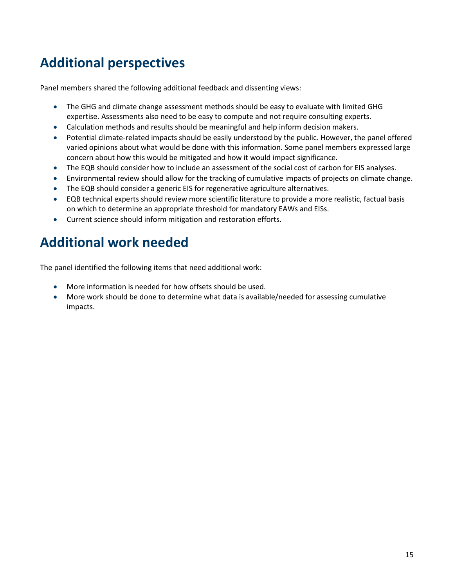# <span id="page-14-0"></span>**Additional perspectives**

Panel members shared the following additional feedback and dissenting views:

- The GHG and climate change assessment methods should be easy to evaluate with limited GHG expertise. Assessments also need to be easy to compute and not require consulting experts.
- Calculation methods and results should be meaningful and help inform decision makers.
- Potential climate-related impacts should be easily understood by the public. However, the panel offered varied opinions about what would be done with this information. Some panel members expressed large concern about how this would be mitigated and how it would impact significance.
- The EQB should consider how to include an assessment of the social cost of carbon for EIS analyses.
- Environmental review should allow for the tracking of cumulative impacts of projects on climate change.
- The EQB should consider a generic EIS for regenerative agriculture alternatives.
- EQB technical experts should review more scientific literature to provide a more realistic, factual basis on which to determine an appropriate threshold for mandatory EAWs and EISs.
- Current science should inform mitigation and restoration efforts.

# <span id="page-14-1"></span>**Additional work needed**

The panel identified the following items that need additional work:

- More information is needed for how offsets should be used.
- More work should be done to determine what data is available/needed for assessing cumulative impacts.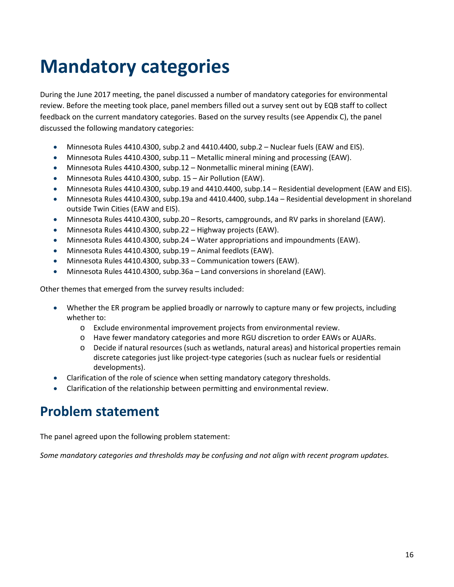# <span id="page-15-0"></span>**Mandatory categories**

During the June 2017 meeting, the panel discussed a number of mandatory categories for environmental review. Before the meeting took place, panel members filled out a survey sent out by EQB staff to collect feedback on the current mandatory categories. Based on the survey results (se[e Appendix C\)](#page-29-0), the panel discussed the following mandatory categories:

- Minnesota Rules 4410.4300, subp.2 and 4410.4400, subp.2 Nuclear fuels (EAW and EIS).
- Minnesota Rules 4410.4300, subp.11 Metallic mineral mining and processing (EAW).
- Minnesota Rules 4410.4300, subp.12 Nonmetallic mineral mining (EAW).
- Minnesota Rules 4410.4300, subp. 15 Air Pollution (EAW).
- Minnesota Rules 4410.4300, subp.19 and 4410.4400, subp.14 Residential development (EAW and EIS).
- Minnesota Rules 4410.4300, subp.19a and 4410.4400, subp.14a Residential development in shoreland outside Twin Cities (EAW and EIS).
- Minnesota Rules 4410.4300, subp.20 Resorts, campgrounds, and RV parks in shoreland (EAW).
- Minnesota Rules 4410.4300, subp.22 Highway projects (EAW).
- Minnesota Rules 4410.4300, subp.24 Water appropriations and impoundments (EAW).
- Minnesota Rules 4410.4300, subp.19 Animal feedlots (EAW).
- Minnesota Rules 4410.4300, subp.33 Communication towers (EAW).
- Minnesota Rules 4410.4300, subp.36a Land conversions in shoreland (EAW).

Other themes that emerged from the survey results included:

- Whether the ER program be applied broadly or narrowly to capture many or few projects, including whether to:
	- o Exclude environmental improvement projects from environmental review.
	- o Have fewer mandatory categories and more RGU discretion to order EAWs or AUARs.
	- o Decide if natural resources (such as wetlands, natural areas) and historical properties remain discrete categories just like project-type categories (such as nuclear fuels or residential developments).
- Clarification of the role of science when setting mandatory category thresholds.
- Clarification of the relationship between permitting and environmental review.

## <span id="page-15-1"></span>**Problem statement**

The panel agreed upon the following problem statement:

*Some mandatory categories and thresholds may be confusing and not align with recent program updates.*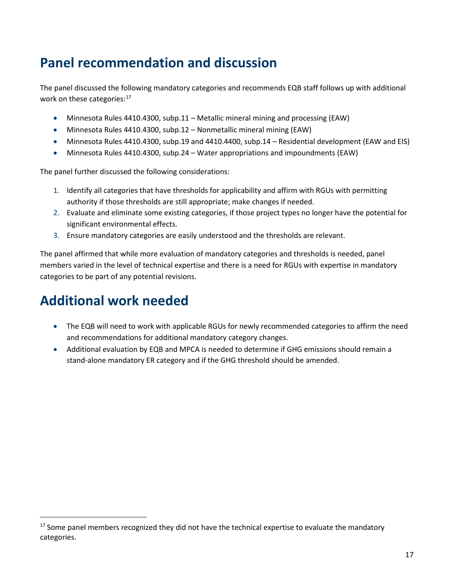# <span id="page-16-0"></span>**Panel recommendation and discussion**

The panel discussed the following mandatory categories and recommends EQB staff follows up with additional work on these categories:<sup>[17](#page-16-2)</sup>

- Minnesota Rules 4410.4300, subp.11 Metallic mineral mining and processing (EAW)
- Minnesota Rules 4410.4300, subp.12 Nonmetallic mineral mining (EAW)
- Minnesota Rules 4410.4300, subp.19 and 4410.4400, subp.14 Residential development (EAW and EIS)
- Minnesota Rules 4410.4300, subp.24 Water appropriations and impoundments (EAW)

The panel further discussed the following considerations:

- 1. Identify all categories that have thresholds for applicability and affirm with RGUs with permitting authority if those thresholds are still appropriate; make changes if needed.
- 2. Evaluate and eliminate some existing categories, if those project types no longer have the potential for significant environmental effects.
- 3. Ensure mandatory categories are easily understood and the thresholds are relevant.

The panel affirmed that while more evaluation of mandatory categories and thresholds is needed, panel members varied in the level of technical expertise and there is a need for RGUs with expertise in mandatory categories to be part of any potential revisions.

# <span id="page-16-1"></span>**Additional work needed**

- The EQB will need to work with applicable RGUs for newly recommended categories to affirm the need and recommendations for additional mandatory category changes.
- Additional evaluation by EQB and MPCA is needed to determine if GHG emissions should remain a stand-alone mandatory ER category and if the GHG threshold should be amended.

<span id="page-16-2"></span> $17$  Some panel members recognized they did not have the technical expertise to evaluate the mandatory categories.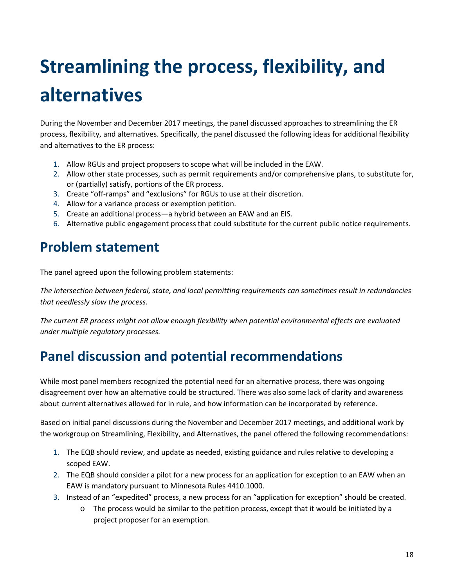# <span id="page-17-0"></span>**Streamlining the process, flexibility, and alternatives**

During the November and December 2017 meetings, the panel discussed approaches to streamlining the ER process, flexibility, and alternatives. Specifically, the panel discussed the following ideas for additional flexibility and alternatives to the ER process:

- 1. Allow RGUs and project proposers to scope what will be included in the EAW.
- 2. Allow other state processes, such as permit requirements and/or comprehensive plans, to substitute for, or (partially) satisfy, portions of the ER process.
- 3. Create "off-ramps" and "exclusions" for RGUs to use at their discretion.
- 4. Allow for a variance process or exemption petition.
- 5. Create an additional process—a hybrid between an EAW and an EIS.
- 6. Alternative public engagement process that could substitute for the current public notice requirements.

## <span id="page-17-1"></span>**Problem statement**

The panel agreed upon the following problem statements:

*The intersection between federal, state, and local permitting requirements can sometimes result in redundancies that needlessly slow the process.* 

*The current ER process might not allow enough flexibility when potential environmental effects are evaluated under multiple regulatory processes.*

# <span id="page-17-2"></span>**Panel discussion and potential recommendations**

While most panel members recognized the potential need for an alternative process, there was ongoing disagreement over how an alternative could be structured. There was also some lack of clarity and awareness about current alternatives allowed for in rule, and how information can be incorporated by reference.

Based on initial panel discussions during the November and December 2017 meetings, and additional work by the workgroup on Streamlining, Flexibility, and Alternatives, the panel offered the following recommendations:

- 1. The EQB should review, and update as needed, existing guidance and rules relative to developing a scoped EAW.
- 2. The EQB should consider a pilot for a new process for an application for exception to an EAW when an EAW is mandatory pursuant to Minnesota Rules 4410.1000.
- 3. Instead of an "expedited" process, a new process for an "application for exception" should be created.
	- o The process would be similar to the petition process, except that it would be initiated by a project proposer for an exemption.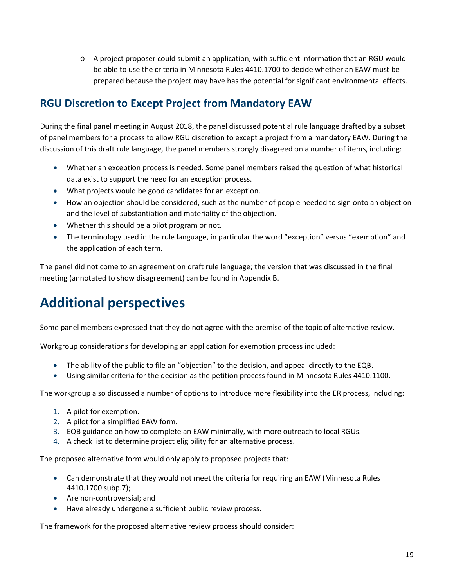o A project proposer could submit an application, with sufficient information that an RGU would be able to use the criteria in Minnesota Rules 4410.1700 to decide whether an EAW must be prepared because the project may have has the potential for significant environmental effects.

## <span id="page-18-0"></span>**RGU Discretion to Except Project from Mandatory EAW**

During the final panel meeting in August 2018, the panel discussed potential rule language drafted by a subset of panel members for a process to allow RGU discretion to except a project from a mandatory EAW. During the discussion of this draft rule language, the panel members strongly disagreed on a number of items, including:

- Whether an exception process is needed. Some panel members raised the question of what historical data exist to support the need for an exception process.
- What projects would be good candidates for an exception.
- How an objection should be considered, such as the number of people needed to sign onto an objection and the level of substantiation and materiality of the objection.
- Whether this should be a pilot program or not.
- The terminology used in the rule language, in particular the word "exception" versus "exemption" and the application of each term.

The panel did not come to an agreement on draft rule language; the version that was discussed in the final meeting (annotated to show disagreement) can be found in [Appendix B.](#page-26-0)

# <span id="page-18-1"></span>**Additional perspectives**

Some panel members expressed that they do not agree with the premise of the topic of alternative review.

Workgroup considerations for developing an application for exemption process included:

- The ability of the public to file an "objection" to the decision, and appeal directly to the EQB.
- Using similar criteria for the decision as the petition process found in Minnesota Rules 4410.1100.

The workgroup also discussed a number of options to introduce more flexibility into the ER process, including:

- 1. A pilot for exemption.
- 2. A pilot for a simplified EAW form.
- 3. EQB guidance on how to complete an EAW minimally, with more outreach to local RGUs.
- 4. A check list to determine project eligibility for an alternative process.

The proposed alternative form would only apply to proposed projects that:

- Can demonstrate that they would not meet the criteria for requiring an EAW (Minnesota Rules 4410.1700 subp.7);
- Are non-controversial; and
- Have already undergone a sufficient public review process.

The framework for the proposed alternative review process should consider: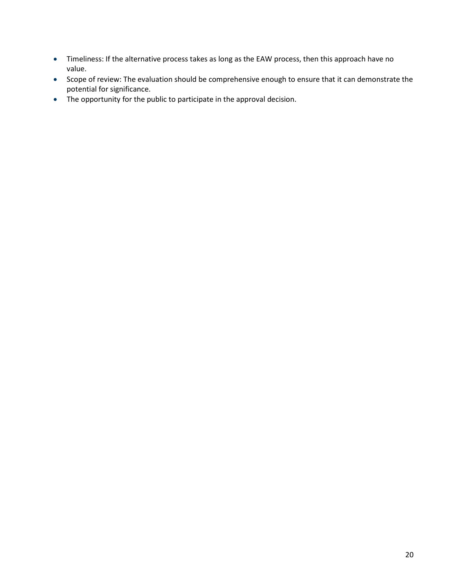- Timeliness: If the alternative process takes as long as the EAW process, then this approach have no value.
- Scope of review: The evaluation should be comprehensive enough to ensure that it can demonstrate the potential for significance.
- The opportunity for the public to participate in the approval decision.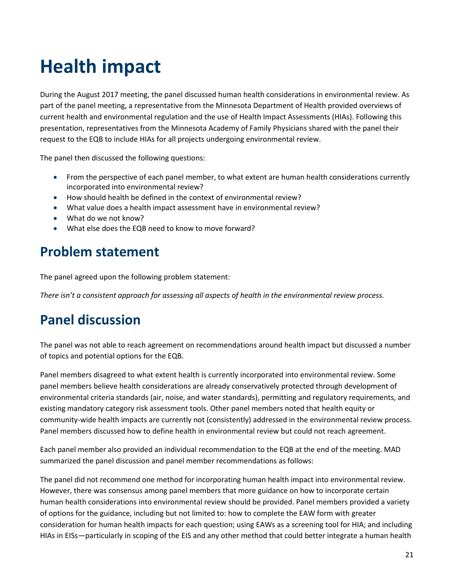# <span id="page-20-0"></span>**Health impact**

During the August 2017 meeting, the panel discussed human health considerations in environmental review. As part of the panel meeting, a representative from the Minnesota Department of Health provided overviews of current health and environmental regulation and the use of Health Impact Assessments (HIAs). Following this presentation, representatives from the Minnesota Academy of Family Physicians shared with the panel their request to the EQB to include HIAs for all projects undergoing environmental review.

The panel then discussed the following questions:

- From the perspective of each panel member, to what extent are human health considerations currently incorporated into environmental review?
- How should health be defined in the context of environmental review?
- What value does a health impact assessment have in environmental review?
- What do we not know?
- What else does the EQB need to know to move forward?

## <span id="page-20-1"></span>**Problem statement**

The panel agreed upon the following problem statement:

*There isn't a consistent approach for assessing all aspects of health in the environmental review process.*

## <span id="page-20-2"></span>**Panel discussion**

The panel was not able to reach agreement on recommendations around health impact but discussed a number of topics and potential options for the EQB.

Panel members disagreed to what extent health is currently incorporated into environmental review. Some panel members believe health considerations are already conservatively protected through development of environmental criteria standards (air, noise, and water standards), permitting and regulatory requirements, and existing mandatory category risk assessment tools. Other panel members noted that health equity or community-wide health impacts are currently not (consistently) addressed in the environmental review process. Panel members discussed how to define health in environmental review but could not reach agreement.

Each panel member also provided an individual recommendation to the EQB at the end of the meeting. MAD summarized the panel discussion and panel member recommendations as follows:

The panel did not recommend one method for incorporating human health impact into environmental review. However, there was consensus among panel members that more guidance on how to incorporate certain human health considerations into environmental review should be provided. Panel members provided a variety of options for the guidance, including but not limited to: how to complete the EAW form with greater consideration for human health impacts for each question; using EAWs as a screening tool for HIA; and including HIAs in EISs—particularly in scoping of the EIS and any other method that could better integrate a human health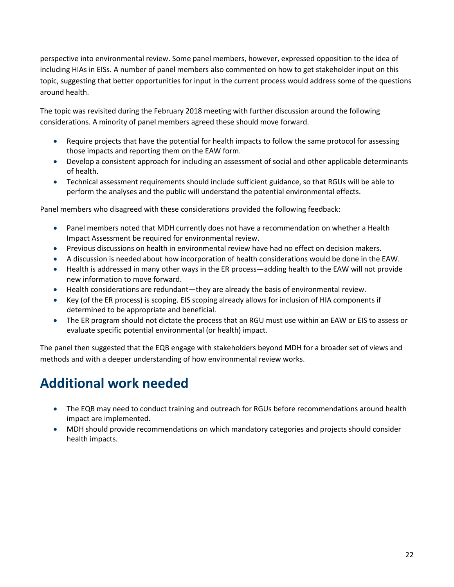perspective into environmental review. Some panel members, however, expressed opposition to the idea of including HIAs in EISs. A number of panel members also commented on how to get stakeholder input on this topic, suggesting that better opportunities for input in the current process would address some of the questions around health.

The topic was revisited during the February 2018 meeting with further discussion around the following considerations. A minority of panel members agreed these should move forward.

- Require projects that have the potential for health impacts to follow the same protocol for assessing those impacts and reporting them on the EAW form.
- Develop a consistent approach for including an assessment of social and other applicable determinants of health.
- Technical assessment requirements should include sufficient guidance, so that RGUs will be able to perform the analyses and the public will understand the potential environmental effects.

Panel members who disagreed with these considerations provided the following feedback:

- Panel members noted that MDH currently does not have a recommendation on whether a Health Impact Assessment be required for environmental review.
- Previous discussions on health in environmental review have had no effect on decision makers.
- A discussion is needed about how incorporation of health considerations would be done in the EAW.
- Health is addressed in many other ways in the ER process—adding health to the EAW will not provide new information to move forward.
- Health considerations are redundant—they are already the basis of environmental review.
- Key (of the ER process) is scoping. EIS scoping already allows for inclusion of HIA components if determined to be appropriate and beneficial.
- The ER program should not dictate the process that an RGU must use within an EAW or EIS to assess or evaluate specific potential environmental (or health) impact.

The panel then suggested that the EQB engage with stakeholders beyond MDH for a broader set of views and methods and with a deeper understanding of how environmental review works.

# <span id="page-21-0"></span>**Additional work needed**

- The EQB may need to conduct training and outreach for RGUs before recommendations around health impact are implemented.
- MDH should provide recommendations on which mandatory categories and projects should consider health impacts.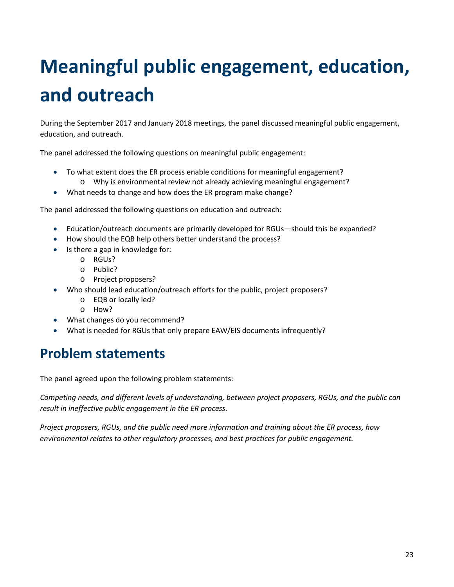# <span id="page-22-0"></span>**Meaningful public engagement, education, and outreach**

During the September 2017 and January 2018 meetings, the panel discussed meaningful public engagement, education, and outreach.

The panel addressed the following questions on meaningful public engagement:

- To what extent does the ER process enable conditions for meaningful engagement? o Why is environmental review not already achieving meaningful engagement?
- What needs to change and how does the ER program make change?

The panel addressed the following questions on education and outreach:

- Education/outreach documents are primarily developed for RGUs—should this be expanded?
- How should the EQB help others better understand the process?
- Is there a gap in knowledge for:
	- o RGUs?
	- o Public?
	- o Project proposers?
- Who should lead education/outreach efforts for the public, project proposers?
	- o EQB or locally led?
	- o How?
- What changes do you recommend?
- What is needed for RGUs that only prepare EAW/EIS documents infrequently?

## <span id="page-22-1"></span>**Problem statements**

The panel agreed upon the following problem statements:

*Competing needs, and different levels of understanding, between project proposers, RGUs, and the public can result in ineffective public engagement in the ER process.*

*Project proposers, RGUs, and the public need more information and training about the ER process, how environmental relates to other regulatory processes, and best practices for public engagement.*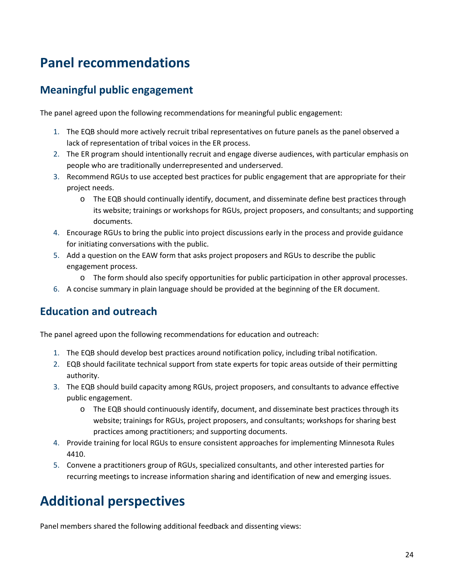# <span id="page-23-0"></span>**Panel recommendations**

## <span id="page-23-1"></span>**Meaningful public engagement**

The panel agreed upon the following recommendations for meaningful public engagement:

- 1. The EQB should more actively recruit tribal representatives on future panels as the panel observed a lack of representation of tribal voices in the ER process.
- 2. The ER program should intentionally recruit and engage diverse audiences, with particular emphasis on people who are traditionally underrepresented and underserved.
- 3. Recommend RGUs to use accepted best practices for public engagement that are appropriate for their project needs.
	- o The EQB should continually identify, document, and disseminate define best practices through its website; trainings or workshops for RGUs, project proposers, and consultants; and supporting documents.
- 4. Encourage RGUs to bring the public into project discussions early in the process and provide guidance for initiating conversations with the public.
- 5. Add a question on the EAW form that asks project proposers and RGUs to describe the public engagement process.
	- o The form should also specify opportunities for public participation in other approval processes.
- 6. A concise summary in plain language should be provided at the beginning of the ER document.

### <span id="page-23-2"></span>**Education and outreach**

The panel agreed upon the following recommendations for education and outreach:

- 1. The EQB should develop best practices around notification policy, including tribal notification.
- 2. EQB should facilitate technical support from state experts for topic areas outside of their permitting authority.
- 3. The EQB should build capacity among RGUs, project proposers, and consultants to advance effective public engagement.
	- $\circ$  The EQB should continuously identify, document, and disseminate best practices through its website; trainings for RGUs, project proposers, and consultants; workshops for sharing best practices among practitioners; and supporting documents.
- 4. Provide training for local RGUs to ensure consistent approaches for implementing Minnesota Rules 4410.
- 5. Convene a practitioners group of RGUs, specialized consultants, and other interested parties for recurring meetings to increase information sharing and identification of new and emerging issues.

# <span id="page-23-3"></span>**Additional perspectives**

Panel members shared the following additional feedback and dissenting views: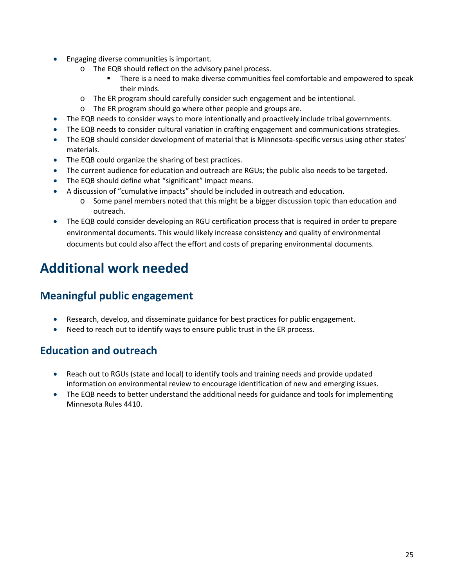- Engaging diverse communities is important.
	- o The EQB should reflect on the advisory panel process.
		- There is a need to make diverse communities feel comfortable and empowered to speak their minds.
	- o The ER program should carefully consider such engagement and be intentional.
	- o The ER program should go where other people and groups are.
- The EQB needs to consider ways to more intentionally and proactively include tribal governments.
- The EQB needs to consider cultural variation in crafting engagement and communications strategies.
- The EQB should consider development of material that is Minnesota-specific versus using other states' materials.
- The EQB could organize the sharing of best practices.
- The current audience for education and outreach are RGUs; the public also needs to be targeted.
- The EQB should define what "significant" impact means.
- A discussion of "cumulative impacts" should be included in outreach and education.
	- $\circ$  Some panel members noted that this might be a bigger discussion topic than education and outreach.
- The EQB could consider developing an RGU certification process that is required in order to prepare environmental documents. This would likely increase consistency and quality of environmental documents but could also affect the effort and costs of preparing environmental documents.

# <span id="page-24-0"></span>**Additional work needed**

### <span id="page-24-1"></span>**Meaningful public engagement**

- Research, develop, and disseminate guidance for best practices for public engagement.
- Need to reach out to identify ways to ensure public trust in the ER process.

### <span id="page-24-2"></span>**Education and outreach**

- Reach out to RGUs (state and local) to identify tools and training needs and provide updated information on environmental review to encourage identification of new and emerging issues.
- The EQB needs to better understand the additional needs for guidance and tools for implementing Minnesota Rules 4410.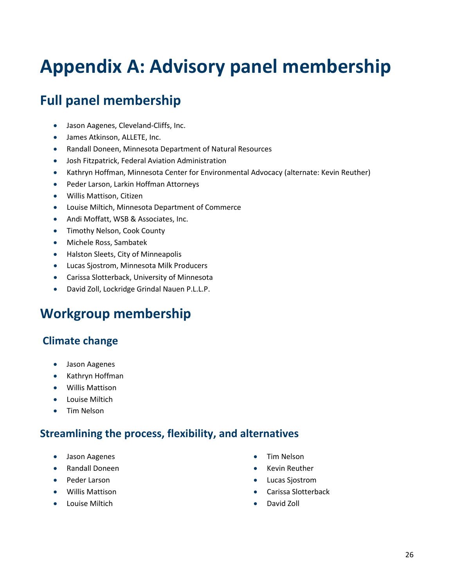# <span id="page-25-0"></span>**Appendix A: Advisory panel membership**

# **Full panel membership**

- Jason Aagenes, Cleveland-Cliffs, Inc.
- James Atkinson, ALLETE, Inc.
- Randall Doneen, Minnesota Department of Natural Resources
- Josh Fitzpatrick, Federal Aviation Administration
- Kathryn Hoffman, Minnesota Center for Environmental Advocacy (alternate: Kevin Reuther)
- Peder Larson, Larkin Hoffman Attorneys
- Willis Mattison, Citizen
- Louise Miltich, Minnesota Department of Commerce
- Andi Moffatt, WSB & Associates, Inc.
- Timothy Nelson, Cook County
- Michele Ross, Sambatek
- Halston Sleets, City of Minneapolis
- Lucas Sjostrom, Minnesota Milk Producers
- Carissa Slotterback, University of Minnesota
- David Zoll, Lockridge Grindal Nauen P.L.L.P.

## **Workgroup membership**

### **Climate change**

- Jason Aagenes
- Kathryn Hoffman
- Willis Mattison
- Louise Miltich
- Tim Nelson

### **Streamlining the process, flexibility, and alternatives**

- Jason Aagenes
- Randall Doneen
- Peder Larson
- Willis Mattison
- Louise Miltich
- Tim Nelson
- Kevin Reuther
- Lucas Sjostrom
- Carissa Slotterback
- David Zoll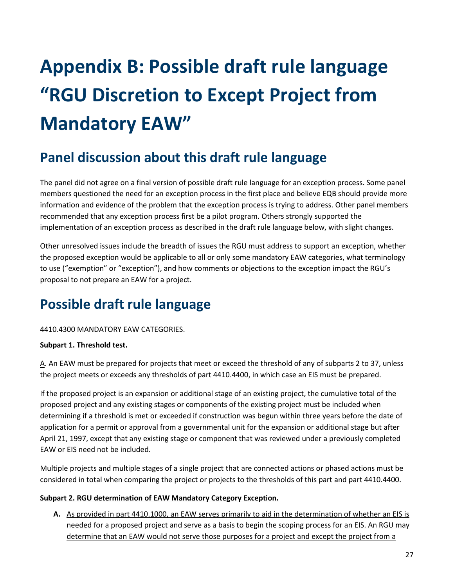# <span id="page-26-0"></span>**Appendix B: Possible draft rule language "RGU Discretion to Except Project from Mandatory EAW"**

# **Panel discussion about this draft rule language**

The panel did not agree on a final version of possible draft rule language for an exception process. Some panel members questioned the need for an exception process in the first place and believe EQB should provide more information and evidence of the problem that the exception process is trying to address. Other panel members recommended that any exception process first be a pilot program. Others strongly supported the implementation of an exception process as described in the draft rule language below, with slight changes.

Other unresolved issues include the breadth of issues the RGU must address to support an exception, whether the proposed exception would be applicable to all or only some mandatory EAW categories, what terminology to use ("exemption" or "exception"), and how comments or objections to the exception impact the RGU's proposal to not prepare an EAW for a project.

# **Possible draft rule language**

#### 4410.4300 MANDATORY EAW CATEGORIES.

#### **Subpart 1. Threshold test.**

A. An EAW must be prepared for projects that meet or exceed the threshold of any of subparts 2 to 37, unless the project meets or exceeds any thresholds of part 4410.4400, in which case an EIS must be prepared.

If the proposed project is an expansion or additional stage of an existing project, the cumulative total of the proposed project and any existing stages or components of the existing project must be included when determining if a threshold is met or exceeded if construction was begun within three years before the date of application for a permit or approval from a governmental unit for the expansion or additional stage but after April 21, 1997, except that any existing stage or component that was reviewed under a previously completed EAW or EIS need not be included.

Multiple projects and multiple stages of a single project that are connected actions or phased actions must be considered in total when comparing the project or projects to the thresholds of this part and part 4410.4400.

#### **Subpart 2. RGU determination of EAW Mandatory Category Exception.**

**A.** As provided in part 4410.1000, an EAW serves primarily to aid in the determination of whether an EIS is needed for a proposed project and serve as a basis to begin the scoping process for an EIS. An RGU may determine that an EAW would not serve those purposes for a project and except the project from a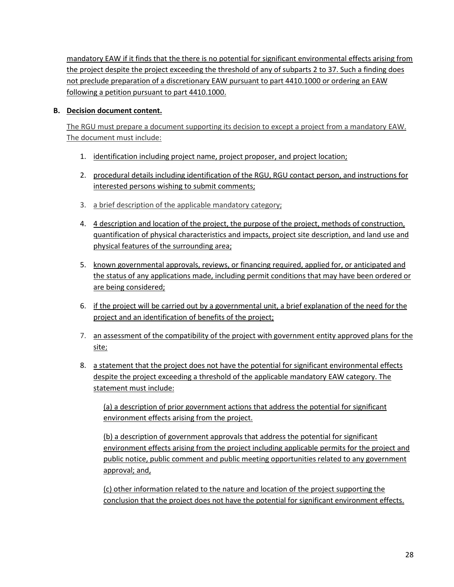mandatory EAW if it finds that the there is no potential for significant environmental effects arising from the project despite the project exceeding the threshold of any of subparts 2 to 37. Such a finding does not preclude preparation of a discretionary EAW pursuant to part 4410.1000 or ordering an EAW following a petition pursuant to part 4410.1000.

#### **B. Decision document content.**

The RGU must prepare a document supporting its decision to except a project from a mandatory EAW. The document must include:

- 1. identification including project name, project proposer, and project location;
- 2. procedural details including identification of the RGU, RGU contact person, and instructions for interested persons wishing to submit comments;
- 3. a brief description of the applicable mandatory category;
- 4. 4 description and location of the project, the purpose of the project, methods of construction, quantification of physical characteristics and impacts, project site description, and land use and physical features of the surrounding area;
- 5. known governmental approvals, reviews, or financing required, applied for, or anticipated and the status of any applications made, including permit conditions that may have been ordered or are being considered;
- 6. if the project will be carried out by a governmental unit, a brief explanation of the need for the project and an identification of benefits of the project;
- 7. an assessment of the compatibility of the project with government entity approved plans for the site;
- 8. a statement that the project does not have the potential for significant environmental effects despite the project exceeding a threshold of the applicable mandatory EAW category. The statement must include:

(a) a description of prior government actions that address the potential for significant environment effects arising from the project.

(b) a description of government approvals that address the potential for significant environment effects arising from the project including applicable permits for the project and public notice, public comment and public meeting opportunities related to any government approval; and,

(c) other information related to the nature and location of the project supporting the conclusion that the project does not have the potential for significant environment effects.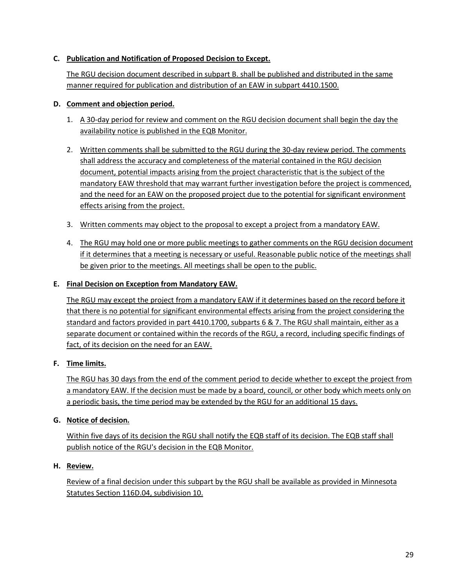#### **C. Publication and Notification of Proposed Decision to Except.**

The RGU decision document described in subpart B. shall be published and distributed in the same manner required for publication and distribution of an EAW in subpart 4410.1500.

#### **D. Comment and objection period.**

- 1. A 30-day period for review and comment on the RGU decision document shall begin the day the availability notice is published in the EQB Monitor.
- 2. Written comments shall be submitted to the RGU during the 30-day review period. The comments shall address the accuracy and completeness of the material contained in the RGU decision document, potential impacts arising from the project characteristic that is the subject of the mandatory EAW threshold that may warrant further investigation before the project is commenced, and the need for an EAW on the proposed project due to the potential for significant environment effects arising from the project.
- 3. Written comments may object to the proposal to except a project from a mandatory EAW.
- 4. The RGU may hold one or more public meetings to gather comments on the RGU decision document if it determines that a meeting is necessary or useful. Reasonable public notice of the meetings shall be given prior to the meetings. All meetings shall be open to the public.

#### **E. Final Decision on Exception from Mandatory EAW.**

The RGU may except the project from a mandatory EAW if it determines based on the record before it that there is no potential for significant environmental effects arising from the project considering the standard and factors provided in part 4410.1700, subparts 6 & 7. The RGU shall maintain, either as a separate document or contained within the records of the RGU, a record, including specific findings of fact, of its decision on the need for an EAW.

#### **F. Time limits.**

The RGU has 30 days from the end of the comment period to decide whether to except the project from a mandatory EAW. If the decision must be made by a board, council, or other body which meets only on a periodic basis, the time period may be extended by the RGU for an additional 15 days.

#### **G. Notice of decision.**

Within five days of its decision the RGU shall notify the EQB staff of its decision. The EQB staff shall publish notice of the RGU's decision in the EQB Monitor.

#### **H. Review.**

Review of a final decision under this subpart by the RGU shall be available as provided in Minnesota Statutes Section 116D.04, subdivision 10.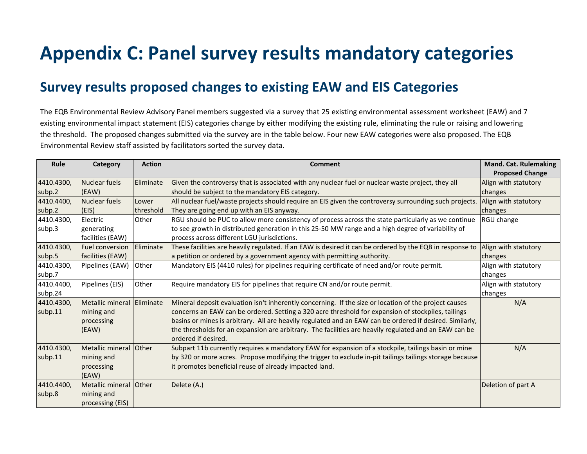# **Appendix C: Panel survey results mandatory categories**

## **Survey results proposed changes to existing EAW and EIS Categories**

The EQB Environmental Review Advisory Panel members suggested via a survey that 25 existing environmental assessment worksheet (EAW) and 7 existing environmental impact statement (EIS) categories change by either modifying the existing rule, eliminating the rule or raising and lowering the threshold. The proposed changes submitted via the survey are in the table below. Four new EAW categories were also proposed. The EQB Environmental Review staff assisted by facilitators sorted the survey data.

<span id="page-29-0"></span>

| Rule       | Category                | <b>Action</b>     | <b>Comment</b>                                                                                                               | <b>Mand. Cat. Rulemaking</b> |
|------------|-------------------------|-------------------|------------------------------------------------------------------------------------------------------------------------------|------------------------------|
|            |                         |                   |                                                                                                                              | <b>Proposed Change</b>       |
| 4410.4300, | Nuclear fuels           | Eliminate         | Given the controversy that is associated with any nuclear fuel or nuclear waste project, they all                            | Align with statutory         |
| subp.2     | (EAW)                   |                   | should be subject to the mandatory EIS category.                                                                             | changes                      |
| 4410.4400, | <b>Nuclear fuels</b>    | Lower             | All nuclear fuel/waste projects should require an EIS given the controversy surrounding such projects.                       | Align with statutory         |
| subp.2     | (EIS)                   | threshold         | They are going end up with an EIS anyway.                                                                                    | changes                      |
| 4410.4300, | Electric                | Other             | RGU should be PUC to allow more consistency of process across the state particularly as we continue                          | RGU change                   |
| subp.3     | generating              |                   | to see growth in distributed generation in this 25-50 MW range and a high degree of variability of                           |                              |
|            | facilities (EAW)        |                   | process across different LGU jurisdictions.                                                                                  |                              |
| 4410.4300, | <b>Fuel conversion</b>  | <b>IEliminate</b> | These facilities are heavily regulated. If an EAW is desired it can be ordered by the EQB in response to                     | Align with statutory         |
| subp.5     | facilities (EAW)        |                   | a petition or ordered by a government agency with permitting authority.                                                      | changes                      |
| 4410.4300, | Pipelines (EAW)         | Other             | Mandatory EIS (4410 rules) for pipelines requiring certificate of need and/or route permit.                                  | Align with statutory         |
| subp.7     |                         |                   |                                                                                                                              | changes                      |
| 4410.4400, | Pipelines (EIS)         | Other             | Require mandatory EIS for pipelines that require CN and/or route permit.                                                     | Align with statutory         |
| subp.24    |                         |                   |                                                                                                                              | changes                      |
| 4410.4300, | <b>Metallic mineral</b> | <b>Eliminate</b>  | Mineral deposit evaluation isn't inherently concerning. If the size or location of the project causes                        | N/A                          |
| subp.11    | mining and              |                   | concerns an EAW can be ordered. Setting a 320 acre threshold for expansion of stockpiles, tailings                           |                              |
|            | processing              |                   | basins or mines is arbitrary. All are heavily regulated and an EAW can be ordered if desired. Similarly,                     |                              |
|            | (EAW)                   |                   | the thresholds for an expansion are arbitrary. The facilities are heavily regulated and an EAW can be<br>ordered if desired. |                              |
| 4410.4300, | Metallic mineral Other  |                   | Subpart 11b currently requires a mandatory EAW for expansion of a stockpile, tailings basin or mine                          | N/A                          |
| subp.11    | mining and              |                   | by 320 or more acres. Propose modifying the trigger to exclude in-pit tailings tailings storage because                      |                              |
|            | processing              |                   | it promotes beneficial reuse of already impacted land.                                                                       |                              |
|            | (EAW)                   |                   |                                                                                                                              |                              |
| 4410.4400, | Metallic mineral Other  |                   | Delete (A.)                                                                                                                  | Deletion of part A           |
| subp.8     | mining and              |                   |                                                                                                                              |                              |
|            | processing (EIS)        |                   |                                                                                                                              |                              |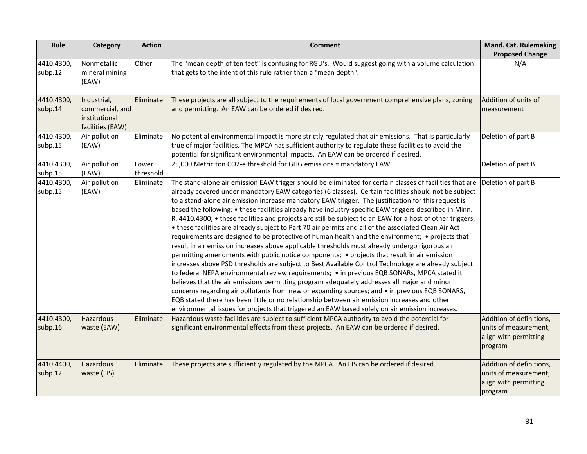| Rule                  | Category                                                            | <b>Action</b>      | <b>Comment</b>                                                                                                                                                                                                                                                                                                                                                                                                                                                                                                                                                                                                                                                                                                                                                                                                                                                                                                                                                                                                                                                                                                                                                                                                                                                                                                                                                                                                                                                                                                                                                         | <b>Mand. Cat. Rulemaking</b><br><b>Proposed Change</b>                                |
|-----------------------|---------------------------------------------------------------------|--------------------|------------------------------------------------------------------------------------------------------------------------------------------------------------------------------------------------------------------------------------------------------------------------------------------------------------------------------------------------------------------------------------------------------------------------------------------------------------------------------------------------------------------------------------------------------------------------------------------------------------------------------------------------------------------------------------------------------------------------------------------------------------------------------------------------------------------------------------------------------------------------------------------------------------------------------------------------------------------------------------------------------------------------------------------------------------------------------------------------------------------------------------------------------------------------------------------------------------------------------------------------------------------------------------------------------------------------------------------------------------------------------------------------------------------------------------------------------------------------------------------------------------------------------------------------------------------------|---------------------------------------------------------------------------------------|
| 4410.4300,<br>subp.12 | Nonmetallic<br>mineral mining<br>(EAW)                              | Other              | The "mean depth of ten feet" is confusing for RGU's. Would suggest going with a volume calculation<br>that gets to the intent of this rule rather than a "mean depth".                                                                                                                                                                                                                                                                                                                                                                                                                                                                                                                                                                                                                                                                                                                                                                                                                                                                                                                                                                                                                                                                                                                                                                                                                                                                                                                                                                                                 | N/A                                                                                   |
| 4410.4300,<br>subp.14 | Industrial,<br>commercial, and<br>institutional<br>facilities (EAW) | Eliminate          | These projects are all subject to the requirements of local government comprehensive plans, zoning<br>and permitting. An EAW can be ordered if desired.                                                                                                                                                                                                                                                                                                                                                                                                                                                                                                                                                                                                                                                                                                                                                                                                                                                                                                                                                                                                                                                                                                                                                                                                                                                                                                                                                                                                                | Addition of units of<br>measurement                                                   |
| 4410.4300,<br>subp.15 | Air pollution<br>(EAW)                                              | Eliminate          | No potential environmental impact is more strictly regulated that air emissions. That is particularly<br>true of major facilities. The MPCA has sufficient authority to regulate these facilities to avoid the<br>potential for significant environmental impacts. An EAW can be ordered if desired.                                                                                                                                                                                                                                                                                                                                                                                                                                                                                                                                                                                                                                                                                                                                                                                                                                                                                                                                                                                                                                                                                                                                                                                                                                                                   | Deletion of part B                                                                    |
| 4410.4300,<br>subp.15 | Air pollution<br>(EAW)                                              | Lower<br>threshold | 25,000 Metric ton CO2-e threshold for GHG emissions = mandatory EAW                                                                                                                                                                                                                                                                                                                                                                                                                                                                                                                                                                                                                                                                                                                                                                                                                                                                                                                                                                                                                                                                                                                                                                                                                                                                                                                                                                                                                                                                                                    | Deletion of part B                                                                    |
| 4410.4300,<br>subp.15 | Air pollution<br>(EAW)                                              | Eliminate          | The stand-alone air emission EAW trigger should be eliminated for certain classes of facilities that are<br>already covered under mandatory EAW categories (6 classes). Certain facilities should not be subject<br>to a stand-alone air emission increase mandatory EAW trigger. The justification for this request is<br>based the following: • these facilities already have industry-specific EAW triggers described in Minn.<br>R. 4410.4300; • these facilities and projects are still be subject to an EAW for a host of other triggers;<br>. these facilities are already subject to Part 70 air permits and all of the associated Clean Air Act<br>requirements are designed to be protective of human health and the environment; • projects that<br>result in air emission increases above applicable thresholds must already undergo rigorous air<br>permitting amendments with public notice components; • projects that result in air emission<br>increases above PSD thresholds are subject to Best Available Control Technology are already subject<br>to federal NEPA environmental review requirements; • in previous EQB SONARs, MPCA stated it<br>believes that the air emissions permitting program adequately addresses all major and minor<br>concerns regarding air pollutants from new or expanding sources; and • in previous EQB SONARS,<br>EQB stated there has been little or no relationship between air emission increases and other<br>environmental issues for projects that triggered an EAW based solely on air emission increases. | Deletion of part B                                                                    |
| 4410.4300,<br>subp.16 | Hazardous<br>waste (EAW)                                            | Eliminate          | Hazardous waste facilities are subject to sufficient MPCA authority to avoid the potential for<br>significant environmental effects from these projects. An EAW can be ordered if desired.                                                                                                                                                                                                                                                                                                                                                                                                                                                                                                                                                                                                                                                                                                                                                                                                                                                                                                                                                                                                                                                                                                                                                                                                                                                                                                                                                                             | Addition of definitions,<br>units of measurement;<br>align with permitting<br>program |
| 4410.4400,<br>subp.12 | Hazardous<br>waste (EIS)                                            | Eliminate          | These projects are sufficiently regulated by the MPCA. An EIS can be ordered if desired.                                                                                                                                                                                                                                                                                                                                                                                                                                                                                                                                                                                                                                                                                                                                                                                                                                                                                                                                                                                                                                                                                                                                                                                                                                                                                                                                                                                                                                                                               | Addition of definitions,<br>units of measurement;<br>align with permitting<br>program |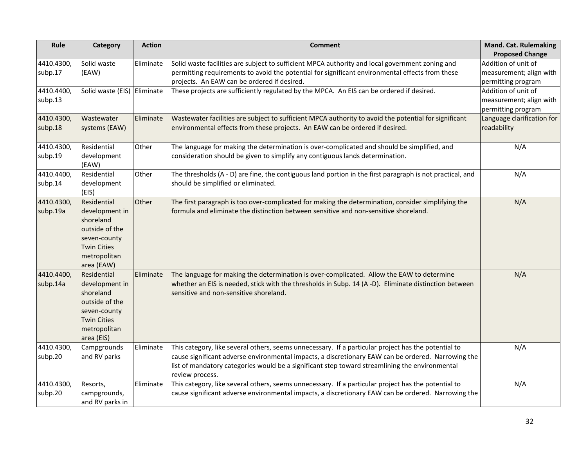| Rule                  | Category                        | <b>Action</b> | <b>Comment</b>                                                                                                                                                                                     | <b>Mand. Cat. Rulemaking</b>                   |
|-----------------------|---------------------------------|---------------|----------------------------------------------------------------------------------------------------------------------------------------------------------------------------------------------------|------------------------------------------------|
|                       |                                 |               |                                                                                                                                                                                                    | <b>Proposed Change</b>                         |
| 4410.4300,<br>subp.17 | Solid waste<br>(EAW)            | Eliminate     | Solid waste facilities are subject to sufficient MPCA authority and local government zoning and<br>permitting requirements to avoid the potential for significant environmental effects from these | Addition of unit of<br>measurement; align with |
|                       |                                 |               | projects. An EAW can be ordered if desired.                                                                                                                                                        | permitting program                             |
| 4410.4400,            | Solid waste (EIS) Eliminate     |               | These projects are sufficiently regulated by the MPCA. An EIS can be ordered if desired.                                                                                                           | Addition of unit of                            |
| subp.13               |                                 |               |                                                                                                                                                                                                    | measurement; align with<br>permitting program  |
| 4410.4300,            | Wastewater                      | Eliminate     | Wastewater facilities are subject to sufficient MPCA authority to avoid the potential for significant                                                                                              | Language clarification for                     |
| subp.18               | systems (EAW)                   |               | environmental effects from these projects. An EAW can be ordered if desired.                                                                                                                       | readability                                    |
| 4410.4300,            | Residential                     | Other         | The language for making the determination is over-complicated and should be simplified, and                                                                                                        | N/A                                            |
| subp.19               | development<br>(EAW)            |               | consideration should be given to simplify any contiguous lands determination.                                                                                                                      |                                                |
| 4410.4400,            | Residential                     | Other         | The thresholds (A - D) are fine, the contiguous land portion in the first paragraph is not practical, and                                                                                          | N/A                                            |
| subp.14               | development<br>(EIS)            |               | should be simplified or eliminated.                                                                                                                                                                |                                                |
| 4410.4300,            | Residential                     | Other         | The first paragraph is too over-complicated for making the determination, consider simplifying the                                                                                                 | N/A                                            |
| subp.19a              | development in<br>shoreland     |               | formula and eliminate the distinction between sensitive and non-sensitive shoreland.                                                                                                               |                                                |
|                       | outside of the<br>seven-county  |               |                                                                                                                                                                                                    |                                                |
|                       | <b>Twin Cities</b>              |               |                                                                                                                                                                                                    |                                                |
|                       | metropolitan                    |               |                                                                                                                                                                                                    |                                                |
|                       | area (EAW)                      |               |                                                                                                                                                                                                    |                                                |
| 4410.4400,            | Residential                     | Eliminate     | The language for making the determination is over-complicated. Allow the EAW to determine                                                                                                          | N/A                                            |
| subp.14a              | development in<br>shoreland     |               | whether an EIS is needed, stick with the thresholds in Subp. 14 (A -D). Eliminate distinction between<br>sensitive and non-sensitive shoreland.                                                    |                                                |
|                       | outside of the                  |               |                                                                                                                                                                                                    |                                                |
|                       | seven-county                    |               |                                                                                                                                                                                                    |                                                |
|                       | <b>Twin Cities</b>              |               |                                                                                                                                                                                                    |                                                |
|                       | metropolitan                    |               |                                                                                                                                                                                                    |                                                |
| 4410.4300,            | area (EIS)                      | Eliminate     | This category, like several others, seems unnecessary. If a particular project has the potential to                                                                                                | N/A                                            |
| subp.20               | Campgrounds<br>and RV parks     |               | cause significant adverse environmental impacts, a discretionary EAW can be ordered. Narrowing the                                                                                                 |                                                |
|                       |                                 |               | list of mandatory categories would be a significant step toward streamlining the environmental                                                                                                     |                                                |
|                       |                                 |               | review process.                                                                                                                                                                                    |                                                |
| 4410.4300,            | Resorts,                        | Eliminate     | This category, like several others, seems unnecessary. If a particular project has the potential to                                                                                                | N/A                                            |
| subp.20               | campgrounds,<br>and RV parks in |               | cause significant adverse environmental impacts, a discretionary EAW can be ordered. Narrowing the                                                                                                 |                                                |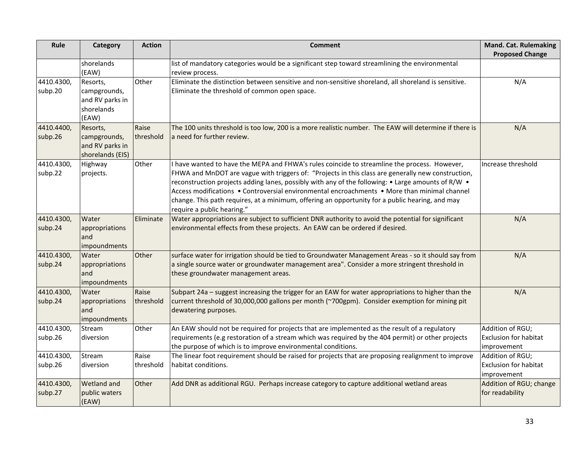| Rule                  | Category                                                           | <b>Action</b>              | <b>Comment</b>                                                                                                                                                                                                                                                                                                                                                                                                                                                                                                                            | <b>Mand. Cat. Rulemaking</b><br><b>Proposed Change</b>          |
|-----------------------|--------------------------------------------------------------------|----------------------------|-------------------------------------------------------------------------------------------------------------------------------------------------------------------------------------------------------------------------------------------------------------------------------------------------------------------------------------------------------------------------------------------------------------------------------------------------------------------------------------------------------------------------------------------|-----------------------------------------------------------------|
|                       | shorelands<br>(EAW)                                                |                            | list of mandatory categories would be a significant step toward streamlining the environmental<br>review process.                                                                                                                                                                                                                                                                                                                                                                                                                         |                                                                 |
| 4410.4300,<br>subp.20 | Resorts,<br>campgrounds,<br>and RV parks in<br>shorelands<br>(EAW) | Other                      | Eliminate the distinction between sensitive and non-sensitive shoreland, all shoreland is sensitive.<br>Eliminate the threshold of common open space.                                                                                                                                                                                                                                                                                                                                                                                     | N/A                                                             |
| 4410.4400,<br>subp.26 | Resorts,<br>campgrounds,<br>and RV parks in<br>shorelands (EIS)    | Raise<br>threshold         | The 100 units threshold is too low, 200 is a more realistic number. The EAW will determine if there is<br>a need for further review.                                                                                                                                                                                                                                                                                                                                                                                                      | N/A                                                             |
| 4410.4300,<br>subp.22 | Highway<br>projects.                                               | Other                      | I have wanted to have the MEPA and FHWA's rules coincide to streamline the process. However,<br>FHWA and MnDOT are vague with triggers of: "Projects in this class are generally new construction,<br>reconstruction projects adding lanes, possibly with any of the following: • Large amounts of R/W •<br>Access modifications • Controversial environmental encroachments • More than minimal channel<br>change. This path requires, at a minimum, offering an opportunity for a public hearing, and may<br>require a public hearing." | Increase threshold                                              |
| 4410.4300,<br>subp.24 | Water<br>appropriations<br>and<br>impoundments                     | Eliminate                  | Water appropriations are subject to sufficient DNR authority to avoid the potential for significant<br>environmental effects from these projects. An EAW can be ordered if desired.                                                                                                                                                                                                                                                                                                                                                       | N/A                                                             |
| 4410.4300,<br>subp.24 | Water<br>appropriations<br>and<br>impoundments                     | Other                      | surface water for irrigation should be tied to Groundwater Management Areas - so it should say from<br>a single source water or groundwater management area". Consider a more stringent threshold in<br>these groundwater management areas.                                                                                                                                                                                                                                                                                               | N/A                                                             |
| 4410.4300,<br>subp.24 | Water<br>appropriations<br>and<br>impoundments                     | Raise<br><b>Ithreshold</b> | Subpart 24a - suggest increasing the trigger for an EAW for water appropriations to higher than the<br>current threshold of 30,000,000 gallons per month (~700gpm). Consider exemption for mining pit<br>dewatering purposes.                                                                                                                                                                                                                                                                                                             | N/A                                                             |
| 4410.4300,<br>subp.26 | Stream<br>diversion                                                | Other                      | An EAW should not be required for projects that are implemented as the result of a regulatory<br>requirements (e.g restoration of a stream which was required by the 404 permit) or other projects<br>the purpose of which is to improve environmental conditions.                                                                                                                                                                                                                                                                        | Addition of RGU;<br><b>Exclusion for habitat</b><br>improvement |
| 4410.4300,<br>subp.26 | Stream<br>diversion                                                | Raise<br>threshold         | The linear foot requirement should be raised for projects that are proposing realignment to improve<br>habitat conditions.                                                                                                                                                                                                                                                                                                                                                                                                                | Addition of RGU;<br><b>Exclusion for habitat</b><br>improvement |
| 4410.4300,<br>subp.27 | Wetland and<br>public waters<br>(EAW)                              | Other                      | Add DNR as additional RGU. Perhaps increase category to capture additional wetland areas                                                                                                                                                                                                                                                                                                                                                                                                                                                  | Addition of RGU; change<br>for readability                      |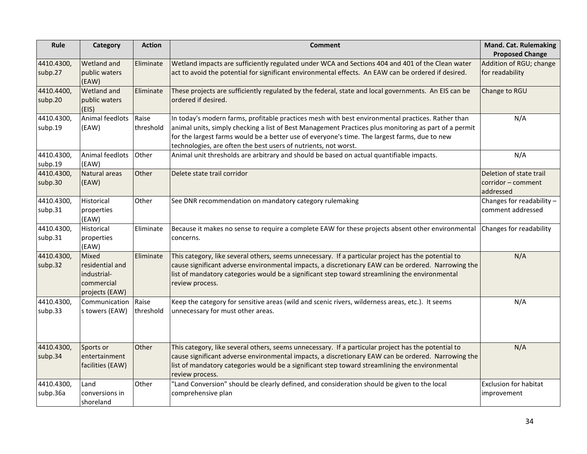| Rule                   | Category                                                                | <b>Action</b>      | <b>Comment</b>                                                                                                                                                                                                                                                                                                                                                                 | <b>Mand. Cat. Rulemaking</b><br><b>Proposed Change</b>     |
|------------------------|-------------------------------------------------------------------------|--------------------|--------------------------------------------------------------------------------------------------------------------------------------------------------------------------------------------------------------------------------------------------------------------------------------------------------------------------------------------------------------------------------|------------------------------------------------------------|
| 4410.4300,<br>subp.27  | Wetland and<br>public waters<br>(EAW)                                   | Eliminate          | Wetland impacts are sufficiently regulated under WCA and Sections 404 and 401 of the Clean water<br>act to avoid the potential for significant environmental effects. An EAW can be ordered if desired.                                                                                                                                                                        | Addition of RGU; change<br>for readability                 |
| 4410.4400,<br>subp.20  | Wetland and<br>public waters<br>(EIS)                                   | Eliminate          | These projects are sufficiently regulated by the federal, state and local governments. An EIS can be<br>ordered if desired.                                                                                                                                                                                                                                                    | Change to RGU                                              |
| 4410.4300,<br>subp.19  | Animal feedlots<br>(EAW)                                                | Raise<br>threshold | In today's modern farms, profitable practices mesh with best environmental practices. Rather than<br>animal units, simply checking a list of Best Management Practices plus monitoring as part of a permit<br>for the largest farms would be a better use of everyone's time. The largest farms, due to new<br>technologies, are often the best users of nutrients, not worst. | N/A                                                        |
| 4410.4300,<br>subp.19  | Animal feedlots<br>(EAW)                                                | Other              | Animal unit thresholds are arbitrary and should be based on actual quantifiable impacts.                                                                                                                                                                                                                                                                                       | N/A                                                        |
| 4410.4300,<br>subp.30  | Natural areas<br>(EAW)                                                  | Other              | Delete state trail corridor                                                                                                                                                                                                                                                                                                                                                    | Deletion of state trail<br>corridor - comment<br>addressed |
| 4410.4300,<br>subp.31  | Historical<br>properties<br>(EAW)                                       | Other              | See DNR recommendation on mandatory category rulemaking                                                                                                                                                                                                                                                                                                                        | Changes for readability -<br>comment addressed             |
| 4410.4300,<br>subp.31  | Historical<br>properties<br>(EAW)                                       | Eliminate          | Because it makes no sense to require a complete EAW for these projects absent other environmental<br>concerns.                                                                                                                                                                                                                                                                 | Changes for readability                                    |
| 4410.4300,<br>subp.32  | Mixed<br>residential and<br>industrial-<br>commercial<br>projects (EAW) | Eliminate          | This category, like several others, seems unnecessary. If a particular project has the potential to<br>cause significant adverse environmental impacts, a discretionary EAW can be ordered. Narrowing the<br>list of mandatory categories would be a significant step toward streamlining the environmental<br>review process.                                                 | N/A                                                        |
| 4410.4300,<br>subp.33  | Communication<br>s towers (EAW)                                         | Raise<br>threshold | Keep the category for sensitive areas (wild and scenic rivers, wilderness areas, etc.). It seems<br>unnecessary for must other areas.                                                                                                                                                                                                                                          | N/A                                                        |
| 4410.4300,<br>subp.34  | Sports or<br>entertainment<br>facilities (EAW)                          | Other              | This category, like several others, seems unnecessary. If a particular project has the potential to<br>cause significant adverse environmental impacts, a discretionary EAW can be ordered. Narrowing the<br>list of mandatory categories would be a significant step toward streamlining the environmental<br>review process.                                                 | N/A                                                        |
| 4410.4300,<br>subp.36a | Land<br>conversions in<br>shoreland                                     | Other              | "Land Conversion" should be clearly defined, and consideration should be given to the local<br>comprehensive plan                                                                                                                                                                                                                                                              | <b>Exclusion for habitat</b><br>improvement                |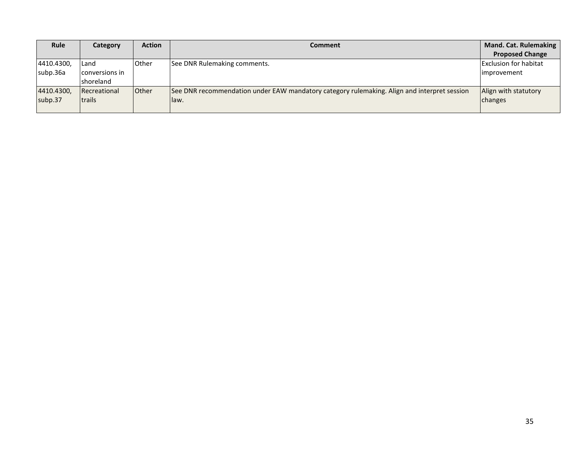| Rule       | Category       | <b>Action</b> | <b>Comment</b>                                                                              | <b>Mand. Cat. Rulemaking</b> |
|------------|----------------|---------------|---------------------------------------------------------------------------------------------|------------------------------|
|            |                |               |                                                                                             | <b>Proposed Change</b>       |
| 4410.4300, | Land           | <b>Other</b>  | See DNR Rulemaking comments.                                                                | <b>Exclusion for habitat</b> |
| subp.36a   | conversions in |               |                                                                                             | <i>limprovement</i>          |
|            | shoreland      |               |                                                                                             |                              |
| 4410.4300, | Recreational   | <b>Other</b>  | See DNR recommendation under EAW mandatory category rulemaking. Align and interpret session | Align with statutory         |
| subp.37    | <b>Itrails</b> |               | law.                                                                                        | changes                      |
|            |                |               |                                                                                             |                              |